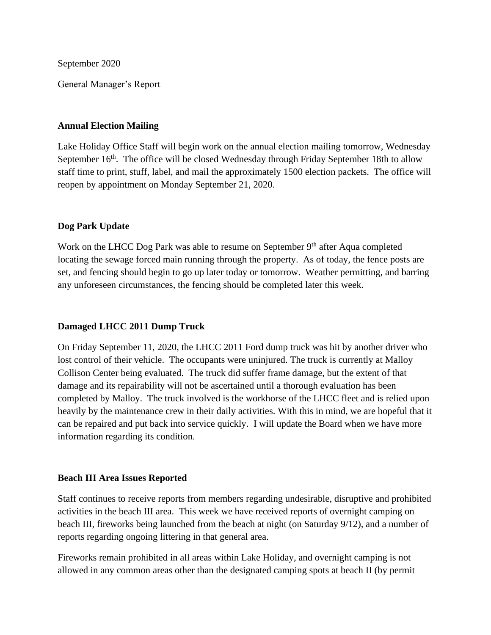September 2020

General Manager's Report

#### **Annual Election Mailing**

Lake Holiday Office Staff will begin work on the annual election mailing tomorrow, Wednesday September 16<sup>th</sup>. The office will be closed Wednesday through Friday September 18th to allow staff time to print, stuff, label, and mail the approximately 1500 election packets. The office will reopen by appointment on Monday September 21, 2020.

### **Dog Park Update**

Work on the LHCC Dog Park was able to resume on September  $9<sup>th</sup>$  after Aqua completed locating the sewage forced main running through the property. As of today, the fence posts are set, and fencing should begin to go up later today or tomorrow. Weather permitting, and barring any unforeseen circumstances, the fencing should be completed later this week.

## **Damaged LHCC 2011 Dump Truck**

On Friday September 11, 2020, the LHCC 2011 Ford dump truck was hit by another driver who lost control of their vehicle. The occupants were uninjured. The truck is currently at Malloy Collison Center being evaluated. The truck did suffer frame damage, but the extent of that damage and its repairability will not be ascertained until a thorough evaluation has been completed by Malloy. The truck involved is the workhorse of the LHCC fleet and is relied upon heavily by the maintenance crew in their daily activities. With this in mind, we are hopeful that it can be repaired and put back into service quickly. I will update the Board when we have more information regarding its condition.

#### **Beach III Area Issues Reported**

Staff continues to receive reports from members regarding undesirable, disruptive and prohibited activities in the beach III area. This week we have received reports of overnight camping on beach III, fireworks being launched from the beach at night (on Saturday 9/12), and a number of reports regarding ongoing littering in that general area.

Fireworks remain prohibited in all areas within Lake Holiday, and overnight camping is not allowed in any common areas other than the designated camping spots at beach II (by permit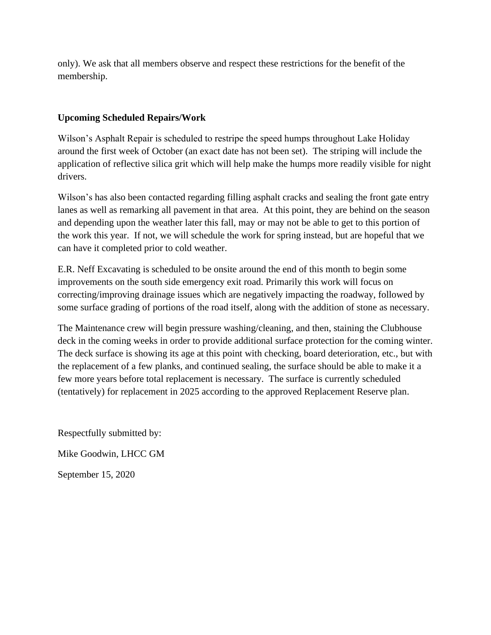only). We ask that all members observe and respect these restrictions for the benefit of the membership.

# **Upcoming Scheduled Repairs/Work**

Wilson's Asphalt Repair is scheduled to restripe the speed humps throughout Lake Holiday around the first week of October (an exact date has not been set). The striping will include the application of reflective silica grit which will help make the humps more readily visible for night drivers.

Wilson's has also been contacted regarding filling asphalt cracks and sealing the front gate entry lanes as well as remarking all pavement in that area. At this point, they are behind on the season and depending upon the weather later this fall, may or may not be able to get to this portion of the work this year. If not, we will schedule the work for spring instead, but are hopeful that we can have it completed prior to cold weather.

E.R. Neff Excavating is scheduled to be onsite around the end of this month to begin some improvements on the south side emergency exit road. Primarily this work will focus on correcting/improving drainage issues which are negatively impacting the roadway, followed by some surface grading of portions of the road itself, along with the addition of stone as necessary.

The Maintenance crew will begin pressure washing/cleaning, and then, staining the Clubhouse deck in the coming weeks in order to provide additional surface protection for the coming winter. The deck surface is showing its age at this point with checking, board deterioration, etc., but with the replacement of a few planks, and continued sealing, the surface should be able to make it a few more years before total replacement is necessary. The surface is currently scheduled (tentatively) for replacement in 2025 according to the approved Replacement Reserve plan.

Respectfully submitted by:

Mike Goodwin, LHCC GM

September 15, 2020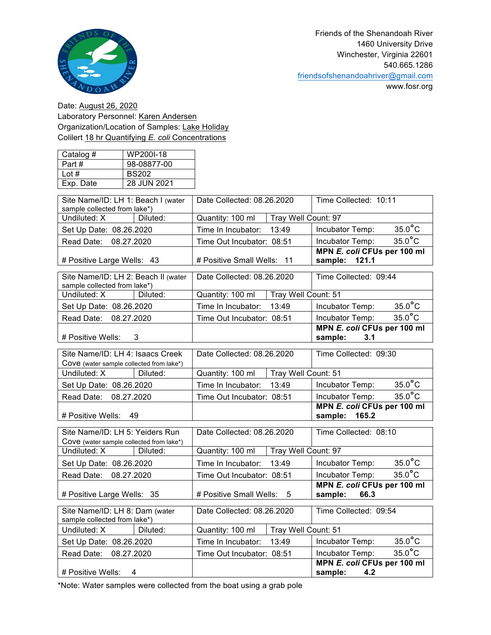

www.fosr.org

Date: August 26, 2020 Laboratory Personnel: Karen Andersen Organization/Location of Samples: Lake Holiday Colilert 18 hr Quantifying *E. coli* Concentrations

| Catalog # | WP200I-18    |
|-----------|--------------|
| Part #    | 98-08877-00  |
| Lot #     | <b>BS202</b> |
| Exp. Date | 28 JUN 2021  |

| Site Name/ID: LH 1: Beach I (water<br>sample collected from lake*)           | Date Collected: 08.26.2020              | Time Collected: 10:11                          |  |
|------------------------------------------------------------------------------|-----------------------------------------|------------------------------------------------|--|
| Undiluted: X<br>Diluted:                                                     | Quantity: 100 ml<br>Tray Well Count: 97 |                                                |  |
| Set Up Date: 08.26.2020                                                      | 13:49<br>Time In Incubator:             | $35.0^{\circ}$ C<br>Incubator Temp:            |  |
| Read Date: 08.27.2020                                                        | Time Out Incubator: 08:51               | $35.0^{\circ}$ C<br>Incubator Temp:            |  |
| # Positive Large Wells: 43                                                   | # Positive Small Wells: 11              | MPN E. coli CFUs per 100 ml<br>sample: 121.1   |  |
| Site Name/ID: LH 2: Beach II (water<br>sample collected from lake*)          | Date Collected: 08.26.2020              | Time Collected: 09:44                          |  |
| Undiluted: X<br>Diluted:                                                     | Tray Well Count: 51<br>Quantity: 100 ml |                                                |  |
| Set Up Date: 08.26.2020                                                      | Time In Incubator:<br>13:49             | $35.0^{\circ}$ C<br>Incubator Temp:            |  |
| Read Date: 08.27.2020                                                        | Time Out Incubator: 08:51               | $35.0^{\circ}$ C<br>Incubator Temp:            |  |
| # Positive Wells:<br>3                                                       |                                         | MPN E. coli CFUs per 100 ml<br>sample:<br>3.1  |  |
| Site Name/ID: LH 4: Isaacs Creek<br>Cove (water sample collected from lake*) | Date Collected: 08.26.2020              | Time Collected: 09:30                          |  |
| Undiluted: X<br>Diluted:                                                     | Tray Well Count: 51<br>Quantity: 100 ml |                                                |  |
| Set Up Date: 08.26.2020                                                      | 13:49<br>Time In Incubator:             | $35.0^{\circ}$ C<br>Incubator Temp:            |  |
| Read Date: 08.27.2020                                                        | Time Out Incubator: 08:51               | $35.0^{\circ}$ C<br>Incubator Temp:            |  |
| # Positive Wells:<br>49                                                      |                                         | MPN E. coli CFUs per 100 ml<br>sample: 165.2   |  |
| Site Name/ID: LH 5: Yeiders Run<br>Cove (water sample collected from lake*)  | Date Collected: 08.26.2020              | Time Collected: 08:10                          |  |
| Undiluted: X<br>Diluted:                                                     | Quantity: 100 ml<br>Tray Well Count: 97 |                                                |  |
| Set Up Date: 08.26.2020                                                      | Time In Incubator:<br>13:49             | $35.0^{\circ}$ C<br>Incubator Temp:            |  |
| Read Date: 08.27.2020                                                        | Time Out Incubator: 08:51               | $35.0^{\circ}$ C<br>Incubator Temp:            |  |
| # Positive Large Wells: 35                                                   | # Positive Small Wells:<br>- 5          | MPN E. coli CFUs per 100 ml<br>sample:<br>66.3 |  |
| Site Name/ID: LH 8: Dam (water<br>sample collected from lake*)               | Date Collected: 08.26.2020              | Time Collected: 09:54                          |  |
| Undiluted: X<br>Diluted:                                                     | Tray Well Count: 51<br>Quantity: 100 ml |                                                |  |
| Set Up Date: 08.26.2020                                                      | Time In Incubator:<br>13:49             | $35.0$ °C<br>Incubator Temp:                   |  |
| 08.27.2020<br>Read Date:                                                     | Time Out Incubator: 08:51               | $35.0^{\circ}$ C<br>Incubator Temp:            |  |
| # Positive Wells:<br>4                                                       |                                         | MPN E. coli CFUs per 100 ml<br>sample:<br>4.2  |  |

\*Note: Water samples were collected from the boat using a grab pole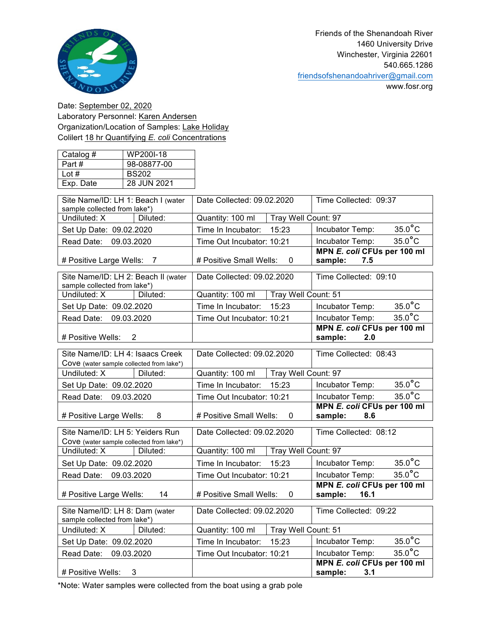

www.fosr.org

Date: September 02, 2020 Laboratory Personnel: Karen Andersen Organization/Location of Samples: Lake Holiday Colilert 18 hr Quantifying *E. coli* Concentrations

| Catalog # | WP200I-18    |
|-----------|--------------|
| Part#     | 98-08877-00  |
| Lot $#$   | <b>BS202</b> |
| Exp. Date | 28 JUN 2021  |

| Site Name/ID: LH 1: Beach I (water<br>sample collected from lake*)           | Date Collected: 09.02.2020              | Time Collected: 09:37                          |  |
|------------------------------------------------------------------------------|-----------------------------------------|------------------------------------------------|--|
| Undiluted: X<br>Diluted:                                                     | Tray Well Count: 97<br>Quantity: 100 ml |                                                |  |
| Set Up Date: 09.02.2020                                                      | 15:23<br>Time In Incubator:             | $35.0$ °C<br>Incubator Temp:                   |  |
| Read Date: 09.03.2020                                                        | Time Out Incubator: 10:21               | $35.0^{\circ}$ C<br>Incubator Temp:            |  |
| # Positive Large Wells:<br>7                                                 | # Positive Small Wells:<br>0            | MPN E. coli CFUs per 100 ml<br>sample:<br>7.5  |  |
| Site Name/ID: LH 2: Beach II (water<br>sample collected from lake*)          | Date Collected: 09.02.2020              | Time Collected: 09:10                          |  |
| Undiluted: X<br>Diluted:                                                     | Quantity: 100 ml<br>Tray Well Count: 51 |                                                |  |
| Set Up Date: 09.02.2020                                                      | Time In Incubator:<br>15:23             | $35.0$ °C<br>Incubator Temp:                   |  |
| Read Date: 09.03.2020                                                        | Time Out Incubator: 10:21               | $35.0^{\circ}$ C<br>Incubator Temp:            |  |
| # Positive Wells:<br>$\overline{2}$                                          |                                         | MPN E. coli CFUs per 100 ml<br>sample:<br>2.0  |  |
| Site Name/ID: LH 4: Isaacs Creek<br>Cove (water sample collected from lake*) | Date Collected: 09.02.2020              | Time Collected: 08:43                          |  |
| Undiluted: X<br>Diluted:                                                     | Quantity: 100 ml<br>Tray Well Count: 97 |                                                |  |
| Set Up Date: 09.02.2020                                                      | 15:23<br>Time In Incubator:             | $35.0^{\circ}$ C<br>Incubator Temp:            |  |
| Read Date: 09.03.2020                                                        | Time Out Incubator: 10:21               | $35.0^{\circ}$ C<br>Incubator Temp:            |  |
| # Positive Large Wells:<br>8                                                 | # Positive Small Wells:<br>0            | MPN E. coli CFUs per 100 ml<br>sample:<br>8.6  |  |
| Site Name/ID: LH 5: Yeiders Run<br>Cove (water sample collected from lake*)  | Date Collected: 09.02.2020              | Time Collected: 08:12                          |  |
| Undiluted: X<br>Diluted:                                                     | Quantity: 100 ml<br>Tray Well Count: 97 |                                                |  |
| Set Up Date: 09.02.2020                                                      | Time In Incubator:<br>15:23             | $35.0^{\circ}$ C<br>Incubator Temp:            |  |
| Read Date: 09.03.2020                                                        | Time Out Incubator: 10:21               | $35.0^{\circ}$ C<br>Incubator Temp:            |  |
| 14<br># Positive Large Wells:                                                | # Positive Small Wells:<br>0            | MPN E. coli CFUs per 100 ml<br>16.1<br>sample: |  |
| Site Name/ID: LH 8: Dam (water<br>sample collected from lake*)               | Date Collected: 09.02.2020              | Time Collected: 09:22                          |  |
| Undiluted: X<br>Diluted:                                                     | Quantity: 100 ml<br>Tray Well Count: 51 |                                                |  |
| Set Up Date: 09.02.2020                                                      | Time In Incubator:<br>15:23             | $35.0^{\circ}$ C<br>Incubator Temp:            |  |
| 09.03.2020<br>Read Date:                                                     | Time Out Incubator: 10:21               | $35.0^{\circ}$ C<br>Incubator Temp:            |  |
| # Positive Wells:<br>3                                                       |                                         | MPN E. coli CFUs per 100 ml<br>sample:<br>3.1  |  |

\*Note: Water samples were collected from the boat using a grab pole